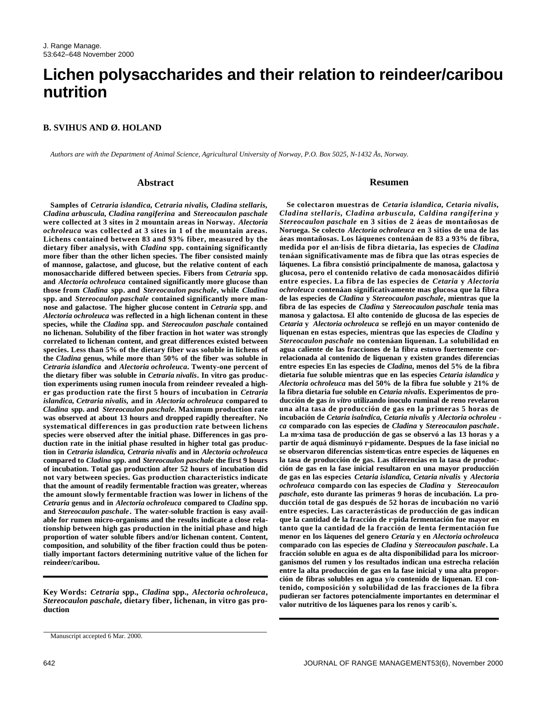# **Lichen polysaccharides and their relation to reindeer/caribou nutrition**

## **B. SVIHUS AND Ø. HOLAND**

*Authors are with the Department of Animal Science, Agricultural University of Norway, P.O. Box 5025, N-1432 Ås, Norway.*

#### **Abstract**

**Samples of** *Cetraria islandica, Cetraria nivalis, Cladina stellaris, Cladina arbuscula, Cladina rangiferina* **and** *Stereocaulon paschale* were collected at 3 sites in 2 mountain areas in Norway. *Alectoria ochroleuca* was collected at 3 sites in 1 of the mountain areas. **Lichens contained between 83 and 93% fiber, measured by the** dietary fiber analysis, with *Cladina* spp. containing significantly **more fiber than the other lichen species. The fiber consisted mainly of mannose, galactose, and glucose, but the relative content of each monosaccharide differed between species. Fibers from** *Cetraria* **spp. and** *Alectoria ochroleuca* **contained significantly more glucose than those from** *Cladina* **spp. and** *Stereocaulon paschale***, while** *C l a d i n a* **spp. and** *Stereocaulon paschale* **contained significantly more mannose and galactose. The higher glucose content in** *Cetraria* **spp. and** *Alectoria ochroleuca* **was reflected in a high lichenan content in these species, while the** *Cladina* **spp. and** *Stereocaulon paschale* **contained no lichenan. Solubility of the fiber fraction in hot water was strongly correlated to lichenan content, and great differences existed between species. Less than 5% of the dietary fiber was soluble in lichens of the** *Cladina* **genus, while more than 50% of the fiber was soluble in** *Cetraria islandica* **and** *Alectoria ochroleuca***. Twenty-one percent of the dietary fiber was soluble in** *Cetraria nivalis***. In vitro gas production experiments using rumen inocula from reindeer revealed a high**er gas production rate the first 5 hours of incubation in *Cetraria islandica, Cetraria nivalis,* **and in** *Alectoria ochroleuca* **compared to** *C l a d i n a* **spp. and** *Stereocaulon paschale***. Maximum production rate was observed at about 13 hours and dropped rapidly thereafter. No systematical differences in gas production rate between lichens species were observed after the initial phase. Differences in gas production rate in the initial phase resulted in higher total gas production in** *Cetraria islandica, Cetraria nivalis* **and in** *Alectoria ochroleuca* **compared to** *Cladina* **spp. and** *Stereocaulon paschale* **the first 9 hours of incubation. Total gas production after 52 hours of incubation did not vary between species. Gas production characteristics indicate that the amount of readily fermentable fraction was greater, whereas the amount slowly fermentable fraction was lower in lichens of the** *Cetraria* **genus and in** *Alectoria ochroleuca* **compared to** *Cladina* **spp. and** *Stereocaulon paschale* **. The water-soluble fraction is easy available for rumen micro-organisms and the results indicate a close relationship between high gas production in the initial phase and high proportion of water soluble fibers and/or lichenan content. Content, composition, and solubility of the fiber fraction could thus be potentially important factors determining nutritive value of the lichen for reindeer/caribou.** 

Key Words: Cetraria spp., Cladina spp., Alectoria ochroleuca, *Stereocaulon paschale***, dietary fiber, lichenan, in vitro gas production** 

#### **Resumen**

**Se colectaron muestras de** *Cetaria islandica, Cetaria nivalis, Cladina stellaris, Cladina arbuscula, Caldina rangiferina y Stereocaulon paschale* **en 3 sitios de 2 áeas de montañosas de Noruega. Se colecto** *Alectoria ochroleuca* **en 3 sitios de una de las áeas montañosas. Los láquenes contenáan de 83 a 93% de fibra,** medida por el an·lisis de fibra dietaria, las especies de *Cladina* **tenáan significativamente mas de fibra que las otras especies de láquenes. La fibra consistió principalmente de manosa, galactosa y glucosa, pero el contenido relativo de cada monosacáidos difirió** entre especies. La fibra de las especies de *Cetaria* y *Alectoria o c h r o l e u c a* **contenáan significativamente mas glucosa que la fibra de las especies de** *Cladina* **y** *Stereocaulon paschale***, mientras que la fibra de las especies de** *Cladina* **y** *Stereocaulon paschale* **tenia mas manosa y galactosa. El alto contenido de glucosa de las especies de** *Cetaria* **y** *Alectoria ochroleuca* **se reflejó en un mayor contenido de** liquenan en estas especies, mientras que las especies de *Cladina* y *Stereocaulon paschale* **no contenáan liquenan. La solubilidad en agua caliente de las fracciones de la fibra estuvo fuertemente correlacionada al contenido de liquenan y existen grandes diferencias entre especies En las especies de** *Cladina***, menos del 5% de la fibra dietaria fue soluble mientras que en las especies** *Cetaria islandica y Alectoria ochroleuca* **mas del 50% de la fibra fue soluble y 21% de la fibra dietaria fue soluble en** *Cetaria nivalis***. Experimentos de producción de gas** *in vitro* **utilizando inoculo ruminal de reno revelaron una alta tasa de producción de gas en la primeras 5 horas de incubación de** *Cetaria isalndica, Cetaria nivalis* **y** *Alectoria ochroleu ca* **comparado con las especies de** *Cladina* **y** *Stereocaulon paschale***. La m·xima tasa de producción de gas se observó a las 13 horas y a partir de aquá disminuyó r·pidamente. Despues de la fase inicial no se observaron diferencias sistem·ticas entre especies de láquenes en la tasa de producción de gas. Las diferencias en la tasa de producción de gas en la fase inicial resultaron en una mayor producción de gas en las especies** *Cetaria islandica, Cetaria nivalis* **y** *A l e c t o r i a ochroleuca* compardo con las especies de *Cladina* y *Stereocaulon paschale***, esto durante las primeras 9 horas de incubación. La producción total de gas después de 52 horas de incubación no varió entre especies. Las caracterásticas de producción de gas indican que la cantidad de la fracción de r·pida fermentación fue mayor en tanto que la cantidad de la fracción de lenta fermentación fue menor en los láquenes del genero** *Cetaria* **y en** *Alectoria ochroleuca* **comparado con las especies de** *Cladina* **y** *Stereocaulon paschale***. La fracción soluble en agua es de alta disponibilidad para los microorganismos del rumen y los resultados indican una estrecha relación entre la alta producción de gas en la fase inicial y una alta proporción de fibras solubles en agua y/o contenido de liquenan. El contenido, composición y solubilidad de las fracciones de la fibra pudieran ser factores potencialmente importantes en determinar el valor nutritivo de los láquenes para los renos y carib˙s.**

Manuscript accepted 6 Mar. 2000.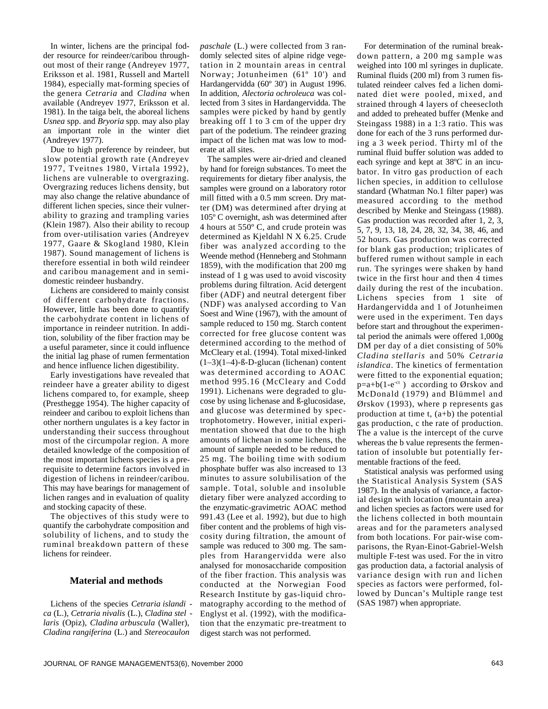In winter, lichens are the principal fodder resource for reindeer/caribou throughout most of their range (Andreyev 1977, Eriksson et al. 1981, Russell and Martell 1984), especially mat-forming species of the genera *Cetraria* and *Cladina* when available (Andreyev 1977, Eriksson et al. 1981). In the taiga belt, the aboreal lichens *Usnea* spp. and *Bryoria* spp. may also play an important role in the winter diet (Andreyev 1977).

Due to high preference by reindeer, but slow potential growth rate (Andreyev 1977, Tveitnes 1980, Virtala 1992), lichens are vulnerable to overgrazing. Overgrazing reduces lichens density, but may also change the relative abundance of different lichen species, since their vulnerability to grazing and trampling varies (Klein 1987). Also their ability to recoup from over-utilisation varies (Andreyev 1977, Gaare & Skogland 1980, Klein 1987). Sound management of lichens is therefore essential in both wild reindeer and caribou management and in semidomestic reindeer husbandry.

Lichens are considered to mainly consist of different carbohydrate fractions. However, little has been done to quantify the carbohydrate content in lichens of importance in reindeer nutrition. In addition, solubility of the fiber fraction may be a useful parameter, since it could influence the initial lag phase of rumen fermentation and hence influence lichen digestibility.

Early investigations have revealed that reindeer have a greater ability to digest lichens compared to, for example, sheep (Presthegge 1954). The higher capacity of reindeer and caribou to exploit lichens than other northern ungulates is a key factor in understanding their success throughout most of the circumpolar region. A more detailed knowledge of the composition of the most important lichens species is a prerequisite to determine factors involved in digestion of lichens in reindeer/caribou. This may have bearings for management of lichen ranges and in evaluation of quality and stocking capacity of these.

The objectives of this study were to quantify the carbohydrate composition and solubility of lichens, and to study the ruminal breakdown pattern of these lichens for reindeer.

## **Material and methods**

Lichens of the species *Cetraria islandi ca* (L.), *Cetraria nivalis* (L.), *Cladina stel laris* (Opiz), *Cladina arbuscula* (Waller), *Cladina rangiferina* (L.) and *Stereocaulon*

*paschale* (L.) were collected from 3 randomly selected sites of alpine ridge vegetation in 2 mountain areas in central Norway; Jotunheimen (61º 10') and Hardangervidda (60º 30') in August 1996. In addition, *Alectoria ochroleuca* was collected from 3 sites in Hardangervidda. The samples were picked by hand by gently breaking off 1 to 3 cm of the upper dry part of the podetium. The reindeer grazing impact of the lichen mat was low to moderate at all sites.

The samples were air-dried and cleaned by hand for foreign substances. To meet the requirements for dietary fiber analysis, the samples were ground on a laboratory rotor mill fitted with a 0.5 mm screen. Dry matter (DM) was determined after drying at 105º C overnight, ash was determined after 4 hours at 550º C, and crude protein was determined as Kjeldahl N X 6.25. Crude fiber was analyzed according to the Weende method (Henneberg and Stohmann 1859), with the modification that 200 mg instead of 1 g was used to avoid viscosity problems during filtration. Acid detergent fiber (ADF) and neutral detergent fiber (NDF) was analysed according to Van Soest and Wine (1967), with the amount of sample reduced to 150 mg. Starch content corrected for free glucose content was determined according to the method of McCleary et al. (1994). Total mixed-linked (1–3)(1–4)-ß-D-glucan (lichenan) content was determined according to AOAC method 995.16 (McCleary and Codd 1991). Lichenans were degraded to glucose by using lichenase and ß-glucosidase, and glucose was determined by spectrophotometry. However, initial experimentation showed that due to the high amounts of lichenan in some lichens, the amount of sample needed to be reduced to 25 mg. The boiling time with sodium phosphate buffer was also increased to 13 minutes to assure solubilisation of the sample. Total, soluble and insoluble dietary fiber were analyzed according to the enzymatic-gravimetric AOAC method 991.43 (Lee et al. 1992), but due to high fiber content and the problems of high viscosity during filtration, the amount of sample was reduced to 300 mg. The samples from Harangervidda were also analysed for monosaccharide composition of the fiber fraction. This analysis was conducted at the Norwegian Food Research Institute by gas-liquid chromatography according to the method of Englyst et al. (1992), with the modification that the enzymatic pre-treatment to digest starch was not performed.

For determination of the ruminal breakdown pattern, a 200 mg sample was weighed into 100 ml syringes in duplicate. Ruminal fluids (200 ml) from 3 rumen fistulated reindeer calves fed a lichen dominated diet were pooled, mixed, and strained through 4 layers of cheesecloth and added to preheated buffer (Menke and Steingass 1988) in a 1:3 ratio. This was done for each of the 3 runs performed during a 3 week period. Thirty ml of the ruminal fluid buffer solution was added to each syringe and kept at 38ºC in an incubator. In vitro gas production of each lichen species, in addition to cellulose standard (Whatman No.1 filter paper) was measured according to the method described by Menke and Steingass (1988). Gas production was recorded after 1, 2, 3, 5, 7, 9, 13, 18, 24, 28, 32, 34, 38, 46, and 52 hours. Gas production was corrected for blank gas production; triplicates of buffered rumen without sample in each run. The syringes were shaken by hand twice in the first hour and then 4 times daily during the rest of the incubation. Lichens species from 1 site of Hardangervidda and 1 of Jotunheimen were used in the experiment. Ten days before start and throughout the experimental period the animals were offered 1,000g DM per day of a diet consisting of 50% *Cladina stellaris* and 50% *Cetraria islandica*. The kinetics of fermentation were fitted to the exponential equation;  $p=a+b(1-e^{-ct})$  according to Ørskov and McDonald (1979) and Blümmel and Ørskov (1993), where p represents gas production at time  $t$ ,  $(a+b)$  the potential gas production, c the rate of production. The a value is the intercept of the curve whereas the b value represents the fermentation of insoluble but potentially fermentable fractions of the feed.

Statistical analysis was performed using the Statistical Analysis System (SAS 1987). In the analysis of variance, a factorial design with location (mountain area) and lichen species as factors were used for the lichens collected in both mountain areas and for the parameters analysed from both locations. For pair-wise comparisons, the Ryan-Einot-Gabriel-Welsh multiple F-test was used. For the in vitro gas production data, a factorial analysis of variance design with run and lichen species as factors were performed, followed by Duncan's Multiple range test (SAS 1987) when appropriate.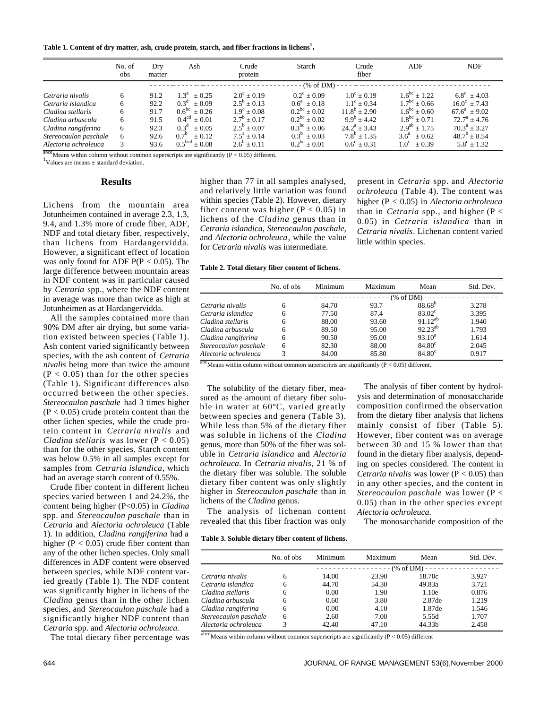**Table 1. Content of dry matter, ash, crude protein, starch, and fiber fractions in lichens<sup>1</sup> .**

|                              | No. of<br><sub>obs</sub> | Dry<br>matter | Ash                         | Crude<br>protein       | Starch              | Crude<br>fiber          | ADF                     | <b>NDF</b>              |
|------------------------------|--------------------------|---------------|-----------------------------|------------------------|---------------------|-------------------------|-------------------------|-------------------------|
|                              |                          |               |                             |                        | % of DM             |                         |                         |                         |
| Cetraria nivalis             | 6                        | 91.2          | $+0.25$<br>$1.3^{\circ}$    | $2.0^{\circ} + 0.19$   | $0.2^c + 0.09$      | $1.0^{\circ} + 0.19$    | $1.6^{bc} \pm 1.22$     | $6.8^{\circ}$ + 4.03    |
| Cetraria islandica           | 6                        | 92.2          | 0.3 <sup>a</sup><br>$+0.09$ | $2.5^{\rm b} + 0.13$   | $0.6^a + 0.18$      | $1.1^{\circ}$ + 0.34    | $1.7^{\rm bc} \pm 0.66$ | $16.0^{\circ} + 7.43$   |
| Cladina stellaris            | 6                        | 91.7          | $0.6^{bc} \pm 0.26$         | $1.9^{\circ} \pm 0.08$ | $0.2^{bc} \pm 0.02$ | $11.8^b + 2.90$         | $1.6^{bc} \pm 0.60$     | $67.6^a \pm 9.02$       |
| Cladina arbuscula            | 6                        | 91.5          | $0.4^{\text{cd}} + 0.01$    | $2.7^{\rm b}$ + 0.17   | $0.2^{bc} \pm 0.02$ | $9.9^b + 4.42$          | $1.8^{bc} + 0.71$       | $72.7^a + 4.76$         |
| Cladina rangiferina          | 6                        | 92.3          | 0.3 <sup>a</sup><br>$+0.05$ | $2.5^{\circ} \pm 0.07$ | $0.3^{bc} \pm 0.06$ | $24.2^{\rm a} \pm 3.43$ | $2.9^{ab} \pm 1.75$     | $70.3^a \pm 3.27$       |
| Stereocaulon paschale        | 6                        | 92.6          | $0.7^{p}$<br>$\pm$ 0.12     | $7.5^a \pm 0.14$       | $0.3^b \pm 0.03$    | $7.8^b$ + 1.35          | $3.6^a \pm 0.62$        | $48.7^{\rm b} \pm 8.54$ |
| Alectoria ochroleuca<br>abcd |                          | 93.6          | $0.5bcd + 0.08$             | $2.6^{\circ} \pm 0.11$ | $0.2^{bc} \pm 0.01$ | $0.6^{\circ} \pm 0.31$  | $1.0^c \pm 0.39$        | $5.8^{\circ} \pm 1.32$  |

 $\alpha^{\text{ad}}$ Means within column without common superscripts are significantly (P < 0.05) different.

 $1$ Values are means  $\pm$  standard deviation.

## **Results**

Lichens from the mountain area Jotunheimen contained in average 2.3, 1.3, 9.4, and 1.3% more of crude fiber, ADF, NDF and total dietary fiber, respectively, than lichens from Hardangervidda. However, a significant effect of location was only found for ADF  $P(P < 0.05)$ . The large difference between mountain areas in NDF content was in particular caused by *Cetraria* spp., where the NDF content in average was more than twice as high at Jotunheimen as at Hardangervidda.

All the samples contained more than 90% DM after air drying, but some variation existed between species (Table 1). Ash content varied significantly between species, with the ash content of *Cetraria nivalis* being more than twice the amount  $(P < 0.05)$  than for the other species (Table 1). Significant differences also occurred between the other species. *Stereocaulon paschale* had 3 times higher  $(P < 0.05)$  crude protein content than the other lichen species, while the crude protein content in *Cetraria nivalis* and *Cladina stellaris* was lower (P < 0.05) than for the other species. Starch content was below 0.5% in all samples except for samples from *Cetraria islandica*, which had an average starch content of 0.55%.

Crude fiber content in different lichen species varied between 1 and 24.2%, the content being higher (P<0.05) in *Cladina* spp. and *Stereocaulon paschale* than in *Cetraria* and *Alectoria ochroleuca* (Table 1). In addition, *Cladina rangiferina* had a higher ( $P < 0.05$ ) crude fiber content than any of the other lichen species. Only small differences in ADF content were observed between species, while NDF content varied greatly (Table 1). The NDF content was significantly higher in lichens of the *Cladina* genus than in the other lichen species, and *Stereocaulon paschale* had a significantly higher NDF content than *Cetraria* spp. and *Alectoria ochroleuca*.

The total dietary fiber percentage was

higher than 77 in all samples analysed, and relatively little variation was found within species (Table 2). However, dietary fiber content was higher  $(P < 0.05)$  in lichens of the *Cladina* genus than in *Cetraria islandica*, *Stereocaulon paschale*, and *Alectoria ochroleuca*, while the value for *Cetraria nivalis* was intermediate.

present in *Cetraria* spp. and *Alectoria ochroleuca* (Table 4). The content was higher (P < 0.05) in *Alectoria ochroleuca* than in *Cetraria* spp., and higher ( $P <$ 0.05) in *Cetraria islandica* than in *Cetraria nivalis*. Lichenan content varied little within species.

|                       | No. of obs. | Minimum | Maximum | Mean               | Std. Dev. |
|-----------------------|-------------|---------|---------|--------------------|-----------|
|                       |             |         |         | % of DM            |           |
| Cetraria nivalis      | 6           | 84.70   | 93.7    | $88.68^{b}$        | 3.278     |
| Cetraria islandica    | 6           | 77.50   | 87.4    | $83.02^{\circ}$    | 3.395     |
| Cladina stellaris     | 6           | 88.00   | 93.60   | $91.12^{ab}$       | 1.940     |
| Cladina arbuscula     | 6           | 89.50   | 95.00   | $92.23^{ab}$       | 1.793     |
| Cladina rangiferina   | 6           | 90.50   | 95.00   | $93.10^a$          | 1.614     |
| Stereocaulon paschale | 6           | 82.30   | 88.00   | 84.80 <sup>c</sup> | 2.045     |
| Alectoria ochroleuca  | 3           | 84.00   | 85.80   | $84.80^{\circ}$    | 0.917     |

 $a$ bcMeans within column without common superscripts are significantly (P < 0.05) different.

The solubility of the dietary fiber, measured as the amount of dietary fiber soluble in water at 60ºC, varied greatly between species and genera (Table 3). While less than 5% of the dietary fiber was soluble in lichens of the *Cladina* genus, more than 50% of the fiber was soluble in *Cetraria islandica* and *Alectoria o c h r o l e u c a*. In *Cetraria nivalis*, 21 % of the dietary fiber was soluble. The soluble dietary fiber content was only slightly higher in *Stereocaulon paschale* than in lichens of the *Cladina* genus.

The analysis of lichenan content revealed that this fiber fraction was only

The analysis of fiber content by hydrolysis and determination of monosaccharide composition confirmed the observation from the dietary fiber analysis that lichens mainly consist of fiber (Table 5). However, fiber content was on average between 30 and 15 % lower than that found in the dietary fiber analysis, depending on species considered. The content in *Cetraria nivalis* was lower ( $P < 0.05$ ) than in any other species, and the content in *Stereocaulon paschale* was lower (P < 0.05) than in the other species except *Alectoria ochroleuca*.

The monosaccharide composition of the

**Table 3. Soluble dietary fiber content of lichens.**

|                       | No. of obs. | Minimum | Maximum                          | Mean   | Std. Dev. |
|-----------------------|-------------|---------|----------------------------------|--------|-----------|
|                       |             |         | ---------------- (% of DM) - - - |        |           |
| Cetraria nivalis      | 6           | 14.00   | 23.90                            | 18.70c | 3.927     |
| Cetraria islandica    | 6           | 44.70   | 54.30                            | 49.83a | 3.721     |
| Cladina stellaris     | 6           | 0.00    | 1.90                             | 1.10e  | 0.876     |
| Cladina arbuscula     | 6           | 0.60    | 3.80                             | 2.87de | 1.219     |
| Cladina rangiferina   | 6           | 0.00    | 4.10                             | 1.87de | 1.546     |
| Stereocaulon paschale | 6           | 2.60    | 7.00                             | 5.55d  | 1.707     |
| Alectoria ochroleuca  | 3           | 42.40   | 47.10                            | 44.33b | 2.458     |
|                       |             |         |                                  |        |           |

 $a<sub>bcd</sub>$  Means within column without common superscripts are significantly (P < 0.05) different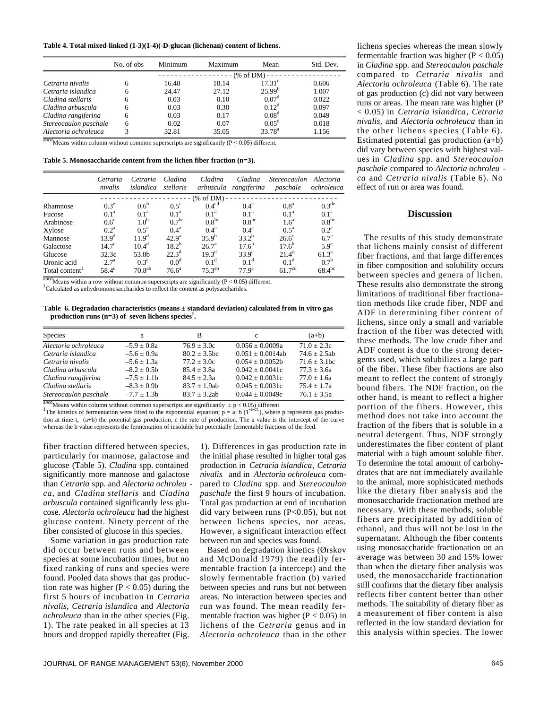|  |  | Table 4. Total mixed-linked (1-3)(1-4)(-D-glucan (lichenan) content of lichens. |
|--|--|---------------------------------------------------------------------------------|
|--|--|---------------------------------------------------------------------------------|

|                       | No. of obs | Minimum | Maximum | Mean              | Std. Dev. |
|-----------------------|------------|---------|---------|-------------------|-----------|
|                       |            |         |         | $% of DM$ -       |           |
| Cetraria nivalis      | 6          | 16.48   | 18.14   | $17.31^{\circ}$   | 0.606     |
| Cetraria islandica    | 6          | 24.47   | 27.12   | $25.99^{b}$       | 1.007     |
| Cladina stellaris     | 6          | 0.03    | 0.10    | 0.07 <sup>d</sup> | 0.022     |
| Cladina arbuscula     | 6          | 0.03    | 0.30    | $0.12^d$          | 0.097     |
| Cladina rangiferina   | 6          | 0.03    | 0.17    | 0.08 <sup>d</sup> | 0.049     |
| Stereocaulon paschale | 6          | 0.02    | 0.07    | $0.05^{\rm d}$    | 0.018     |
| Alectoria ochroleuca  | 3          | 32.81   | 35.05   | $33.78^{\rm a}$   | 1.156     |

Means within column without common superscripts are significantly ( $P < 0.05$ ) different.

**Table 5. Monosaccharide content from the lichen fiber fraction (n=3).**

|                            | Cetraria<br>nivalis | Cetraria<br>islandica | Cladina<br>stellaris | Cladina<br>arbuscula | Cladina<br>rangiferina | <i>Stereocaulon</i><br>paschale | Alectoria<br>ochroleuca |
|----------------------------|---------------------|-----------------------|----------------------|----------------------|------------------------|---------------------------------|-------------------------|
|                            |                     |                       |                      | % of DM              |                        |                                 |                         |
| Rhamnose                   | 0.3 <sup>e</sup>    | 0.6 <sup>b</sup>      | $0.5^{\circ}$        | 0.4 <sup>cd</sup>    | $0.4^\circ$            | 0.8 <sup>a</sup>                | 0.3 <sup>de</sup>       |
| Fucose                     | $0.1^{\rm a}$       | 0.1 <sup>a</sup>      | 0.1 <sup>a</sup>     | 0.1 <sup>a</sup>     | 0.1 <sup>a</sup>       | 0.1 <sup>a</sup>                | 0.1 <sup>a</sup>        |
| Arabinose                  | $0.6^{\circ}$       | 1.0 <sup>b</sup>      | 0.7 <sup>bc</sup>    | 0.8 <sup>bc</sup>    | 0.8 <sup>bc</sup>      | $1.6^a$                         | 0.8 <sup>bc</sup>       |
| Xylose                     | $0.2^{\rm a}$       | $0.5^{\rm a}$         | $0.4^{\rm a}$        | $0.4^{\rm a}$        | $0.4^{\rm a}$          | $0.5^{\rm a}$                   | 0.2 <sup>a</sup>        |
| Mannose                    | $13.9^{d}$          | 11.9 <sup>d</sup>     | $42.9^{\rm a}$       | $35.9^{b}$           | $33.2^{b}$             | $26.6^\circ$                    | $6.7^\mathrm{e}$        |
| Galactose                  | $14.7^\circ$        | $10.4^d$              | $18.2^{b}$           | $26.7^{\rm a}$       | $17.6^{b}$             | $17.6^{b}$                      | 5.9 <sup>e</sup>        |
| Glucose                    | 32.3c               | 53.8b                 | $22.3^d$             | $19.3^d$             | $33.9^\circ$           | $21.4^d$                        | $61.3^a$                |
| Uronic acid                | 27 <sup>a</sup>     | 0.3 <sup>c</sup>      | 0.0 <sup>d</sup>     | 0.1 <sup>d</sup>     | 0.1 <sup>d</sup>       | 0.1 <sup>d</sup>                | 0.7 <sup>b</sup>        |
| Total content <sup>1</sup> | $58.4^{\rm d}$      | $70.8^{ab}$           | $76.6^a$             | $75.3^{ab}$          | 77.9 <sup>a</sup>      | 61.7 <sup>cd</sup>              | $68.4^{bc}$             |

abcd Means within a row without common superscripts are significantly ( $P < 0.05$ ) different.

<sup>1</sup>Calculated as anhydromonosaccharides to reflect the content as polysaccharides.

**Table 6. Degradation characteristics (means ± standard deviation) calculated from in vitro gas production runs (n=3) of seven lichens species<sup>1</sup> .**

| <b>Species</b>                                         | a             | B               | c                     | $(a+b)$                    |
|--------------------------------------------------------|---------------|-----------------|-----------------------|----------------------------|
| Alectoria ochroleuca                                   | $-5.9 + 0.8a$ | $76.9 + 3.0c$   | $0.056 \pm 0.0009a$   | $71.0 + 2.3c$              |
| Cetraria islandica                                     | $-5.6 + 0.9a$ | $80.2 + 3.5$ bc | $0.051 \pm 0.0014$ ab | $74.6 + 2.5ab$             |
| Cetraria nivalis                                       | $-5.6 + 1.3a$ | $77.2 + 3.0c$   | $0.054 + 0.0052h$     | $71.6 + 3.1$ <sub>bc</sub> |
| Cladina arbuscula                                      | $-8.2 + 0.5h$ | $85.4 + 3.8a$   | $0.042 + 0.0041c$     | $77.3 + 3.6a$              |
| Cladina rangiferina                                    | $-7.5 + 1.1b$ | $84.5 + 2.3a$   | $0.042 \pm 0.0031c$   | $77.0 + 1.6a$              |
| Cladina stellaris                                      | $-8.3 + 0.9b$ | $83.7 + 1.9ab$  | $0.045 \pm 0.0031c$   | $75.4 + 1.7a$              |
| Stereocaulon paschale<br><b><i><u>Property</u></i></b> | $-7.7 + 1.3h$ | $83.7 + 3.2ab$  | $0.044 + 0.0049c$     | $76.1 + 3.5a$              |

<sup>a</sup>Means within column without common superscripts are significantly  $\pm p < 0.05$ ) different

<sup>1</sup>The kinetics of fermentation were fitted to the exponential equation;  $p = a+b$  (1<sup>-e-ct</sup>), where p represents gas production at time t, (a+b) the potential gas production, c the rate of production. The a value is the intercept of the curve whereas the b value represents the fermentation of insoluble but potentially fermentable fractions of the feed.

fiber fraction differed between species, particularly for mannose, galactose and glucose (Table 5). *Cladina* spp. contained significantly more mannose and galactose than *Cetraria* spp. and *Alectoria ochroleu*   $ca$ , and *Cladina stellaris* and *Cladina arbuscula* contained significantly less glucose. *Alectoria ochroleuca* had the highest glucose content. Ninety percent of the fiber consisted of glucose in this species.

Some variation in gas production rate did occur between runs and between species at some incubation times, but no fixed ranking of runs and species were found. Pooled data shows that gas production rate was higher ( $P < 0.05$ ) during the first 5 hours of incubation in *Cetraria nivalis, Cetraria islandica and Alectoria ochroleuca* than in the other species (Fig. 1). The rate peaked in all species at 13 hours and dropped rapidly thereafter (Fig.

1). Differences in gas production rate in the initial phase resulted in higher total gas production in *Cetraria islandica*, *Cetraria nivalis* and in *Alectoria ochroleuca* compared to *Cladina* spp. and *Stereocaulon paschale* the first 9 hours of incubation. Total gas production at end of incubation did vary between runs (P<0.05), but not between lichens species, nor areas. However, a significant interaction effect between run and species was found.

Based on degradation kinetics (Ørskov and McDonald 1979) the readily fermentable fraction (a intercept) and the slowly fermentable fraction (b) varied between species and runs but not between areas. No interaction between species and run was found. The mean readily fermentable fraction was higher ( $P < 0.05$ ) in lichens of the *Cetraria* genus and in *Alectoria ochroleuca* than in the other

lichens species whereas the mean slowly fermentable fraction was higher  $(P < 0.05)$ in *Cladina* spp. and *Stereocaulon paschale* compared to *Cetraria nivalis* and *Alectoria ochroleuca* (Table 6). The rate of gas production (c) did not vary between runs or areas. The mean rate was higher (P  $<$  0.05) in *Cetraria islandica*, *Cetraria nivalis, and Alectoria ochroleuca than in* the other lichens species (Table 6). Estimated potential gas production (a+b) did vary between species with highest values in *Cladina* spp. and *Stereocaulon paschale* compared to *Alectoria ochroleu ca* and *Cetraria nivalis* (Table 6). No effect of run or area was found.

## **Discussion**

The results of this study demonstrate that lichens mainly consist of different fiber fractions, and that large differences in fiber composition and solubility occurs between species and genera of lichen. These results also demonstrate the strong limitations of traditional fiber fractionation methods like crude fiber, NDF and ADF in determining fiber content of lichens, since only a small and variable fraction of the fiber was detected with these methods. The low crude fiber and ADF content is due to the strong detergents used, which solubilizes a large part of the fiber. These fiber fractions are also meant to reflect the content of strongly bound fibers. The NDF fraction, on the other hand, is meant to reflect a higher portion of the fibers. However, this method does not take into account the fraction of the fibers that is soluble in a neutral detergent. Thus, NDF strongly underestimates the fiber content of plant material with a high amount soluble fiber. To determine the total amount of carbohydrates that are not immediately available to the animal, more sophisticated methods like the dietary fiber analysis and the monosaccharide fractionation method are necessary. With these methods, soluble fibers are precipitated by addition of ethanol, and thus will not be lost in the supernatant. Although the fiber contents using monosaccharide fractionation on an average was between 30 and 15% lower than when the dietary fiber analysis was used, the monosaccharide fractionation still confirms that the dietary fiber analysis reflects fiber content better than other methods. The suitability of dietary fiber as a measurement of fiber content is also reflected in the low standard deviation for this analysis within species. The lower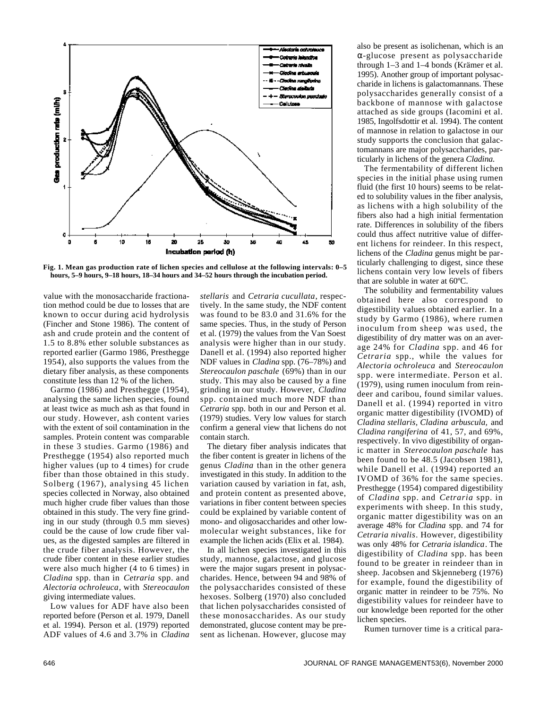

**Fig. 1. Mean gas production rate of lichen species and cellulose at the following intervals: 0–5 hours, 5–9 hours, 9–18 hours, 18–34 hours and 34–52 hours through the incubation period.**

value with the monosaccharide fractionation method could be due to losses that are known to occur during acid hydrolysis (Fincher and Stone 1986). The content of ash and crude protein and the content of 1.5 to 8.8% ether soluble substances as reported earlier (Garmo 1986, Presthegge 1954), also supports the values from the dietary fiber analysis, as these components constitute less than 12 % of the lichen.

Garmo (1986) and Presthegge (1954), analysing the same lichen species, found at least twice as much ash as that found in our study. However, ash content varies with the extent of soil contamination in the samples. Protein content was comparable in these 3 studies. Garmo (1986) and Presthegge (1954) also reported much higher values (up to 4 times) for crude fiber than those obtained in this study. Solberg (1967), analysing 45 lichen species collected in Norway, also obtained much higher crude fiber values than those obtained in this study. The very fine grinding in our study (through 0.5 mm sieves) could be the cause of low crude fiber values, as the digested samples are filtered in the crude fiber analysis. However, the crude fiber content in these earlier studies were also much higher (4 to 6 times) in *Cladina* spp. than in *Cetraria* spp. and *Alectoria ochroleuca*, with *Stereocaulon* giving intermediate values.

Low values for ADF have also been reported before (Person et al. 1979, Danell et al. 1994). Person et al. (1979) reported ADF values of 4.6 and 3.7% in *Cladina*  *stellaris* and *Cetraria cucullata*, respectively. In the same study, the NDF content was found to be 83.0 and 31.6% for the same species. Thus, in the study of Person et al. (1979) the values from the Van Soest analysis were higher than in our study. Danell et al. (1994) also reported higher NDF values in *Cladina* spp. (76–78%) and *Stereocaulon paschale* (69%) than in our study. This may also be caused by a fine grinding in our study. However, *Cladina* spp. contained much more NDF than *Cetraria* spp. both in our and Person et al. (1979) studies. Very low values for starch confirm a general view that lichens do not contain starch.

The dietary fiber analysis indicates that the fiber content is greater in lichens of the genus *Cladina* than in the other genera investigated in this study. In addition to the variation caused by variation in fat, ash, and protein content as presented above, variations in fiber content between species could be explained by variable content of mono- and oligosaccharides and other lowmolecular weight substances, like for example the lichen acids (Elix et al. 1984).

In all lichen species investigated in this study, mannose, galactose, and glucose were the major sugars present in polysaccharides. Hence, between 94 and 98% of the polysaccharides consisted of these hexoses. Solberg (1970) also concluded that lichen polysaccharides consisted of these monosaccharides. As our study demonstrated, glucose content may be present as lichenan. However, glucose may also be present as isolichenan, which is an

-glucose present as polysaccharide through 1–3 and 1–4 bonds (Krämer et al. 1995). Another group of important polysaccharide in lichens is galactomannans. These polysaccharides generally consist of a backbone of mannose with galactose attached as side groups (Iacomini et al. 1985, Ingolfsdottir et al. 1994). The content of mannose in relation to galactose in our study supports the conclusion that galactomannans are major polysaccharides, particularly in lichens of the genera *Cladina*.

The fermentability of different lichen species in the initial phase using rumen fluid (the first 10 hours) seems to be related to solubility values in the fiber analysis, as lichens with a high solubility of the fibers also had a high initial fermentation rate. Differences in solubility of the fibers could thus affect nutritive value of different lichens for reindeer. In this respect, lichens of the *Cladina* genus might be particularly challenging to digest, since these lichens contain very low levels of fibers that are soluble in water at 60ºC.

The solubility and fermentability values obtained here also correspond to digestibility values obtained earlier. In a study by Garmo (1986), where rumen inoculum from sheep was used, the digestibility of dry matter was on an average 24% for *Cladina* spp. and 46 for *Cetraria* spp., while the values for *Alectoria ochroleuca* and *Stereocaulon* spp. were intermediate. Person et al. (1979), using rumen inoculum from reindeer and caribou, found similar values. Danell et al. (1994) reported in vitro organic matter digestibility (IVOMD) of *Cladina stellaris, Cladina arbuscula, and Cladina rangiferina* of 41, 57, and 69%, respectively. In vivo digestibility of organic matter in *Stereocaulon paschale* has been found to be 48.5 (Jacobsen 1981), while Danell et al. (1994) reported an IVOMD of 36% for the same species. Presthegge (1954) compared digestibility of *Cladina* spp. and *Cetraria* spp. in experiments with sheep. In this study, organic matter digestibility was on an average 48% for *Cladina* spp. and 74 for *Cetraria nivalis*. However, digestibility was only 48% for *Cetraria islandica*. The digestibility of *Cladina* spp. has been found to be greater in reindeer than in sheep. Jacobsen and Skjenneberg (1976) for example, found the digestibility of organic matter in reindeer to be 75%. No digestibility values for reindeer have to our knowledge been reported for the other lichen species.

Rumen turnover time is a critical para-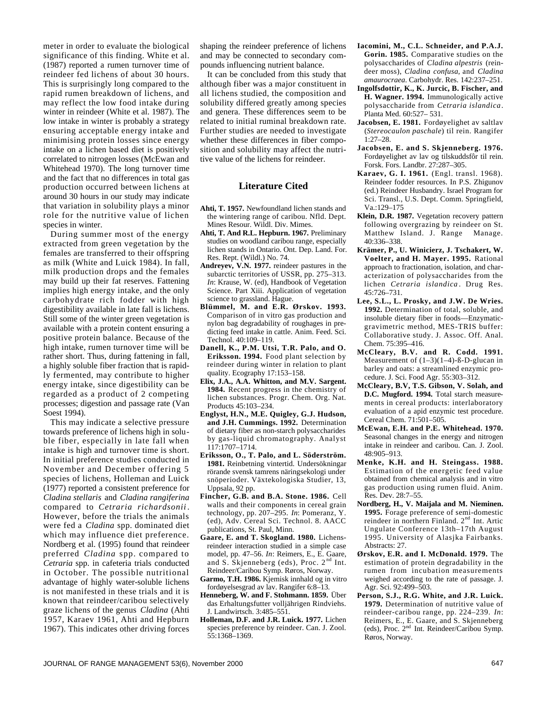meter in order to evaluate the biological significance of this finding. White et al. (1987) reported a rumen turnover time of reindeer fed lichens of about 30 hours. This is surprisingly long compared to the rapid rumen breakdown of lichens, and may reflect the low food intake during winter in reindeer (White et al. 1987). The low intake in winter is probably a strategy ensuring acceptable energy intake and minimising protein losses since energy intake on a lichen based diet is positively correlated to nitrogen losses (McEwan and Whitehead 1970). The long turnover time and the fact that no differences in total gas production occurred between lichens at around 30 hours in our study may indicate that variation in solubility plays a minor role for the nutritive value of lichen species in winter.

During summer most of the energy extracted from green vegetation by the females are transferred to their offspring as milk (White and Luick 1984). In fall, milk production drops and the females may build up their fat reserves. Fattening implies high energy intake, and the only carbohydrate rich fodder with high digestibility available in late fall is lichens. Still some of the winter green vegetation is available with a protein content ensuring a positive protein balance. Because of the high intake, rumen turnover time will be rather short. Thus, during fattening in fall, a highly soluble fiber fraction that is rapidly fermented, may contribute to higher energy intake, since digestibility can be regarded as a product of 2 competing processes; digestion and passage rate (Van Soest 1994).

This may indicate a selective pressure towards preference of lichens high in soluble fiber, especially in late fall when intake is high and turnover time is short. In initial preference studies conducted in November and December offering 5 species of lichens, Holleman and Luick (1977) reported a consistent preference for *Cladina stellaris* and *Cladina rangiferina* compared to *Cetraria richardsonii* . However, before the trials the animals were fed a *Cladina* spp. dominated diet which may influence diet preference. Nordberg et al. (1995) found that reindeer preferred *Cladina* spp. compared to *Cetraria* spp. in cafeteria trials conducted in October. The possible nutritional advantage of highly water-soluble lichens is not manifested in these trials and it is known that reindeer/caribou selectively graze lichens of the genus *Cladina* (Ahti 1957, Karaev 1961, Ahti and Hepburn 1967). This indicates other driving forces

shaping the reindeer preference of lichens and may be connected to secondary compounds influencing nutrient balance.

It can be concluded from this study that although fiber was a major constituent in all lichens studied, the composition and solubility differed greatly among species and genera. These differences seem to be related to initial ruminal breakdown rate. Further studies are needed to investigate whether these differences in fiber composition and solubility may affect the nutritive value of the lichens for reindeer.

#### **Literature Cited**

- **Ahti, T. 1957.** Newfoundland lichen stands and the wintering range of caribou. Nfld. Dept. Mines Resour. Wildl. Div. Mimes.
- Ahti, T. And R.L. Hepburn. 1967. Preliminary studies on woodland caribou range, especially lichen stands in Ontario. Ont. Dep. Land. For. Res. Rept. (Wildl.) No. 74.
- **Andreyev, V.N. 1977.** reindeer pastures in the subarctic territories of USSR, pp. 275–313. *In*: Krause, W. (ed), Handbook of Vegetation Science. Part Xiii. Application of vegetation science to grassland. Hague.
- **Blümmel, M. and E.R. Ørskov. 1993.** Comparison of in vitro gas production and nylon bag degradability of roughages in predicting feed intake in cattle. Anim. Feed. Sci. Technol. 40:109–119.
- **Danell, K., P.M. Utsi, T.R. Palo, and O. Eriksson. 1994.** Food plant selection by reindeer during winter in relation to plant quality. Ecography 17:153–158.
- **Elix, J.A., A.A. Whitton, and M.V. Sargent. 1984.** Recent progress in the chemistry of lichen substances. Progr. Chem. Org. Nat. Products 45:103–234.
- **Englyst, H.N., M.E. Quigley, G.J. Hudson,** and J.H. Cummings. 1992. Determination of dietary fiber as non-starch polysaccharides by gas-liquid chromatography. Analyst 117:1707–1714.
- **Eriksson, O., T. Palo, and L. Söderström. 1981.** Reinbetning vintertid. Undersökningar rörande svensk tamrens näringsekologi under snöperioder. Växtekologiska Studier, 13, Uppsala, 92 pp.
- Fincher, G.B. and B.A. Stone. 1986. Cell walls and their components in cereal grain technology, pp. 207-295. *In*: Pomeranz, Y. (ed), Adv. Cereal Sci. Technol. 8. AACC publications, St. Paul, Minn.
- Gaare, E. and T. Skogland. 1980. Lichensreindeer interaction studied in a simple case model, pp. 47–56. *In*: Reimers, E., E. Gaare, and S. Skjenneberg (eds), Proc. 2<sup>nd</sup> Int. Reindeer/Caribou Symp. Røros, Norway.
- **Garmo, T.H. 1986.** Kjemisk innhald og in vitro fordøyelsesgrad av lav. Rangifer 6:8–13.
- **Henneberg, W. and F. Stohmann. 1859.** Über das Erhaltungsfutter volljährigen Rindviehs. J. Landwirtsch. 3:485–551.
- Holleman, D.F. and J.R. Luick. 1977. Lichen species preference by reindeer. Can. J. Zool. 55:1368–1369.
- **Iacomini, M., C.L. Schneider, and P.A.J. Gorin. 1985.** Comparative studies on the polysaccharides of *Cladina alpestris* (reindeer moss), *Cladina confusa*, and *Cladina amaurocraea*. Carbohydr. Res. 142:237–251.
- **Ingolfsdottir, K., K. Jurcic, B. Fischer, and H. Wagner. 1994.** Immunologically active polysaccharide from *Cetraria islandica*. Planta Med. 60:527– 531.
- **Jacobsen, E. 1981.** Fordøyelighet av saltlav (*Stereocaulon paschale*) til rein. Rangifer 1:27–28.
- **Jacobsen, E. and S. Skjenneberg. 1976.** Fordøyelighet av lav og tilskuddsfôr til rein. Forsk. Fors. Landbr. 27:287–305.
- **Karaev, G. I. 1961.** (Engl. transl. 1968). Reindeer fodder resources. In P.S. Zhigunov (ed.) Reindeer Husbandry. Israel Program for Sci. Transl., U.S. Dept. Comm. Springfield, Va.:129–175
- **Klein, D.R. 1987.** Vegetation recovery pattern following overgrazing by reindeer on St. Matthew Island. J. Range Manage. 40:336–338.
- **Krämer, P., U. Winicierz, J. Tschakert, W.** Voelter, and H. Mayer. 1995. Rational approach to fractionation, isolation, and characterization of polysaccharides from the lichen *Cetraria islandica* . Drug Res. 45:726–731.
- **Lee, S.L., L. Prosky, and J.W. De Wries.** 1992. Determination of total, soluble, and insoluble dietary fiber in foods—Enzymaticgravimetric method, MES-TRIS buffer: Collaborative study. J. Assoc. Off. Anal. Chem. 75:395–416.
- **McCleary, B.V. and R. Codd. 1991.** Measurement of  $(1-3)(1-4)$ -B-D-glucan in barley and oats: a streamlined enzymic procedure. J. Sci. Food Agr. 55:303–312.
- **McCleary, B.V, T.S. Gibson, V. Solah, and D.C. Mugford. 1994.** Total starch measurements in cereal products: interlaboratory evaluation of a apid enzymic test procedure. Cereal Chem. 71:501–505.
- **McEwan, E.H. and P.E. Whitehead. 1970.** Seasonal changes in the energy and nitrogen intake in reindeer and caribou. Can. J. Zool. 48:905–913.
- **Menke, K.H. and H. Steingass. 1988.** Estimation of the energetic feed value obtained from chemical analysis and in vitro gas production using rumen fluid. Anim. Res. Dev. 28:7–55.
- **Nordberg, H., V. Maijala and M. Nieminen.** 1995. Forage preference of semi-domestic reindeer in northern Finland. 2<sup>nd</sup> Int. Artic Ungulate Conference 13th–17th August 1995. University of Alasjka Fairbanks. Abstracts: 27.
- **Ørskov, E.R. and I. McDonald. 1979.** The estimation of protein degradability in the rumen from incubation measurements weighed according to the rate of passage. J. Agr. Sci. 92:499–503.
- **Person, S.J., R.G. White, and J.R. Luick. 1979.** Determination of nutritive value of reindeer-caribou range, pp. 224-239. In: Reimers, E., E. Gaare, and S. Skjenneberg (eds), Proc. 2nd Int. Reindeer/Caribou Symp. Røros, Norway.